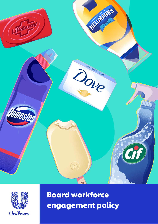



Board workforce engagement policy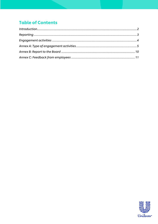## **Table of Contents**

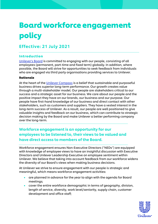# Board workforce engagement policy

## Effective: 21 July 2021

### <span id="page-2-0"></span>Introduction

[Unilever's Board](https://www.unilever.com/our-company/our-leadership/) is committed to engaging with our people, consisting of all employees (permanent, part-time and fixed term) globally. In addition, where possible, the Board will strive for opportunities to seek feedback from individuals who are engaged via third party organisations providing services to Unilever.

### Rationale

At the heart of the [Unilever Compass](https://assets.unilever.com/files/92ui5egz/production/ebc4f41bd9e39901ea4ae5bec7519d1b606adf8b.pdf/Compass-Strategy.pdf) is a belief that sustainable and purposeful business drives superior long-term performance. Our growth creates value through a multi-stakeholder model. Our people are stakeholders critical to our success and a strategic asset for our business. We care about our people and the positive impact they have on our brands, our business and our purpose. Our people have first-hand knowledge of our business and direct contact with other stakeholders, such as customers and suppliers. They have a vested interest in the long-term success of Unilever. As a result, our people are well positioned to give valuable insights and feedback on our business, which can contribute to strategic decision making by the Board and make Unilever a better performing company over the long-term.

### Workforce engagement is an opportunity for our employees to be listened to, their views to be valued and have direct access to members of the Board.

Workforce engagement ensures Non-Executive Directors ("NEDs") are equipped with knowledge of employee views to have an insightful discussion with Executive Directors and Unilever Leadership Executive on employee sentiment within Unilever. We believe that taking into account feedback from our workforce widens the diversity of our Board's views when making business decisions.

At Unilever we strive to ensure engagement with our people is strategic and meaningful, which means workforce engagement activities:

- are planned in advance for the year to align with the agenda for Board meetings;
- cover the entire workforce demographic in terms of geography, division, length of service, diversity, work level/seniority, supply chain, customer development and office staff;

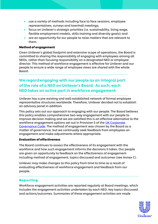- use a variety of methods including face to face sessions, employee representatives, surveys and townhall meetings;
- focus on Unilever's strategic priorities (i.e. sustainability, living wage, flexible employment models, skills training and diversity goals); and
- are an opportunity for our people to raise matters that are relevant to them.

### Method of engagement

Given Unilever's global footprint and extensive scope of operations, the Board is committed to sharing the responsibility of engaging with employees among all NEDs, rather than focusing responsibility on a designated NED or employee director. This method of workforce engagement is effective for Unilever and our people to ensure a wide range of employee views are shared with the whole Board.

### We regard engaging with our people as an integral part of the role of a NED on Unilever's Board. As such, each NED takes an active part in workforce engagement.

Unilever has a pre-existing and well-established network of formal employee representative structures worldwide. Therefore, Unilever decided not to establish an advisory panel in addition.

This policy sets out our approach to engaging with our people. The Board believes this policy enables comprehensive two-way engagement with our people to improve decision making and we are satisfied this is an effective alternative to the workforce engagement options set out in Provision 5 of the UK Corporate [Governance Code.](https://www.frc.org.uk/getattachment/88bd8c45-50ea-4841-95b0-d2f4f48069a2/2018-UK-Corporate-Governance-Code-FINAL.PDF) The method of engagement was chosen by the Board as a matter of governance, but we continually seek feedback from employees on engagement and make adjustments where appropriate.

#### Evaluation of effectiveness

The Board continues to assess the effectiveness of its engagement with the workforce and how such engagement informs the decisions it takes. Our people are given an opportunity to feedback on the effectiveness of engagement including method of engagement, topics discussed and outcomes (see Annex C).

Unilever may make changes to this policy from time to time as a result of evaluating effectiveness of workforce engagement and feedback from our people.

#### <span id="page-3-0"></span>Reporting

Workforce engagement activities are reported regularly at Board meetings, which includes the engagement activities undertaken by each NED, key topics discussed and actions/outcomes. Summaries of these engagement activities are made

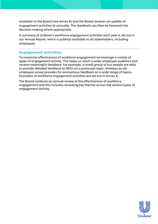available to the Board (see Annex B) and the Board receives an update of engagement activities bi-annually. This feedback can then be factored into decision making where appropriate.

A summary of Unilever's workforce engagement activities each year is set out in our Annual Report, which is publicly available to all stakeholders, including employees.

### <span id="page-4-0"></span>Engagement activities

To maximise effectiveness of workforce engagement we leverage a variety of types of engagement activity. This helps us reach a wider employee audience and receive meaningful feedback. For example, a small group of our people are able to provide detailed feedback to NEDs on a particular topic, whereas an allemployee survey provides for anonymous feedback on a wide range of topics. Examples of workforce engagement activities are set out in Annex A.

The Board conducts an annual review of the effectiveness of workforce engagement and this includes reviewing key themes across the various types of engagement activity.

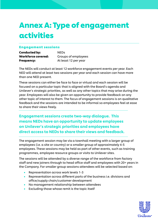## <span id="page-5-0"></span>Annex A: Type of engagement activities

### Engagement sessions

| <b>Conducted by:</b>      | <b>NEDS</b>          |
|---------------------------|----------------------|
| <b>Workforce covered:</b> | Groups of employees  |
| <b>Frequency:</b>         | At least 12 per year |

The NEDs will conduct at least 12 workforce engagement events per year. Each NED will attend at least two sessions per year and each session can have more than one NED present.

These sessions can either be face to face or virtual and each session will be focused on a particular topic that is aligned with the Board's agenda and Unilever's strategic priorities, as well as any other topics that may arise during the year. Employees will also be given an opportunity to provide feedback on any other topic of interest to them. The focus of engagement sessions is on qualitative feedback and the sessions are intended to be informal so employees feel at ease to share their views freely.

Engagement sessions create two-way dialogue. This means NEDs have an opportunity to update employees on Unilever's strategic priorities and employees have direct access to NEDs to share their views and feedback.

The engagement session may be via a townhall meeting with a larger group of employees (i.e. a site or country) or a smaller group of approximately 4-5 employees. These sessions may be held as part of other events, such as training programmes, employee resource groups or visits to Unilever sites.

The sessions will be attended by a diverse range of the workforce from factory staff and new joiners through to head office staff and employees with 20+ years in the Company. For smaller group sessions attendees will be selected based on:

- Representation across work levels 1-3
- Representation across different parts of the business i.e. divisions and office/supply chain/customer development
- No management relationship between attendees
- Excluding those whose remit is the topic itself

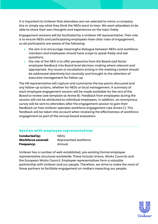It is important to Unilever that attendees are not selected to mimic a company line or simply say what they think the NEDs want to hear. We want attendees to be able to share their own thoughts and experiences on the topic freely.

Engagement sessions will be facilitated by a Unilever HR representative. Their role is to ensure NEDs and participating employees have clear rules of engagement, so all participants are aware of the following:

- the aim is to encourage meaningful dialogue between NEDs and workforce members and employees should have scope to speak freely and ask questions;
- the role of the NED is to offer perspective from the Board and factor employee feedback into Board level decision-making where relevant and appropriate. Any issues or escalations arising in the meeting context should be addressed attentively but neutrally and brought to the attention of executive management for follow-up.

The HR representative will capture and summarise the key points discussed and any follow-up actions, whether for NEDs or local management. A summary of each employee engagement session will be made available for the rest of the Board to review (see template at Annex B). Feedback from employees during the session will not be attributed to individual employees. In addition, an anonymous survey will be sent to attendees after the engagement session to gain their feedback on how Unilever operates workforce engagement (see Annex C). This feedback will be taken into account when reviewing the effectiveness of workforce engagement as part of the annual board evaluation.

### Session with employee representatives

| <b>Conducted by:</b>      | <b>NEDS</b>           |
|---------------------------|-----------------------|
| <b>Workforce covered:</b> | Represented workforce |
| <b>Frequency:</b>         | Annual                |

Unilever has a number of well-established, pre-existing formal employee representative structures worldwide. These include Unions, Works Councils and the European Works Council. Employee representatives form a valuable partnership with Unilever and our people. Therefore, we strive to make the most of these partners to facilitate engagement on matters impacting our people.

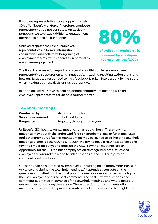Employee representatives cover approximately 80% of Unilever's workforce. Therefore, employee representatives do not constitute an advisory panel and we leverage additional engagement methods to reach all our people.

80%

Unilever respects the role of employee representatives in formal information, consultation and collective bargaining of employment terms, which operates in parallel to employee engagement.

of Unilever's workforce is covered by employee representatives (2020)

The Board receives a full report on discussions within Unilever's employee representative structures on an annual basis, including resulting action plans and how any issues are responded to. This feedback is taken into account by the Board when making business decisions as appropriate.

In addition, we will strive to hold an annual engagement meeting with an employee representative forum on a topical matter.

### Townhall meetings

| <b>Conducted by:</b>      | Members of the Board          |
|---------------------------|-------------------------------|
| <b>Workforce covered:</b> | Global workforce              |
| <b>Frequency:</b>         | Regularly throughout the year |

Unilever's CEO hosts townhall meetings on a regular basis. These townhall meetings may be with the entire workforce or certain markets or functions. NEDs and other members of senior management may be invited to co-host the townhall meetings alongside the CEO too. As such, we aim to have a NED host at least one townhall meeting per year alongside the CEO. Townhall meetings are an opportunity for the CEO to brief employees on strategic business issues and employees all around the world to ask questions of the CEO and provide comments and feedback.

Questions can be submitted by employees (including on an anonymous basis) in advance and during the townhall meetings. All attendees can vote on the questions submitted and the most popular questions are escalated to the top of the list. Employees can also post comments. The hosts review questions and comments submitted in advance of the townhall meetings and where possible answer questions during the session. These questions and comments allow members of the Board to gauge the sentiment of employees and highlights the

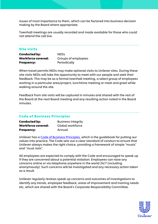issues of most importance to them, which can be factored into business decision making by the Board where appropriate.

Townhall meetings are usually recorded and made available for those who could not attend the call live.

### Site visits

| <b>Conducted by:</b>      | <b>NEDS</b>         |  |
|---------------------------|---------------------|--|
| <b>Workforce covered:</b> | Groups of employees |  |
| <b>Frequency:</b>         | Periodically        |  |

When travel permits NEDs may make optional visits to Unilever sites. During these site visits NEDs will take the opportunity to meet with our people and seek their feedback. This may be as a formal townhall meeting, a select group of employees working in a particular area/project, lunchtime meeting or meet and greet while walking around the site.

Feedback from site visits will be captured in minutes and shared with the rest of the Board at the next Board meeting and any resulting action noted in the Board minutes.

### Code of Business Principles

| <b>Conducted by:</b>      | <b>Business Integrity</b> |
|---------------------------|---------------------------|
| <b>Workforce covered:</b> | Global workforce          |
| <b>Frequency:</b>         | Annual                    |

Unilever has a [Code of Business Principles,](https://www.unilever.com/Images/code-of-business-principles-and-code-policies_tcm244-409220_en.pdf) which is the guidebook for putting our values into practice. The Code sets out a clear standard of conduct to ensure that Unilever always makes the right choice, providing a framework of simple "musts" and "must nots".

All employees are expected to comply with the Code and encouraged to speak up if they are concerned about a potential violation. Employees can raise any concerns online or via telephone anywhere in the world 24/7 (including anonymously). Such concerns will be investigated and any necessary action taken as a result.

Unilever regularly reviews speak up concerns and outcomes of investigations to identify any trends, employee feedback, areas of improvement and training needs etc, which are shared with the Board's Corporate Responsibility Committee.

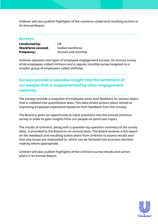Unilever will also publish highlights of the concerns raised and resulting actions in its Annual Report.

#### Surveys

| <b>Conducted by:</b> | HR    |
|----------------------|-------|
| Workforce covered:   | Globa |
| <b>Frequency:</b>    | Annuc |

l workforce al and monthly

Unilever operates two types of employee engagement surveys. An annual survey of all employees called UniVoice and a regular monthly survey targeted to a smaller group of employees called UniPulse.

### Surveys provide a valuable insight into the sentiment of our people that is supplemented by other engagement methods.

The surveys provide a snapshot of employee views and feedback on various topics that is collated into quantitative data. This data drives actions plans aimed at improving employee experience based on their feedback from the surveys.

The Board is given an opportunity to input questions into the annual UniVoice survey in order to gain insights from our people on particular topics.

The results of UniVoice, along with a question-by-question summary of the survey data, is provided to the Board on an annual basis. The Board receives a full report on the feedback and resulting action plans from UniVoice to assess results and how any issues are responded to, which can be factored into business decision making where appropriate.

Unilever will also publish highlights of the UniVoice survey results and action plans in its Annual Report.

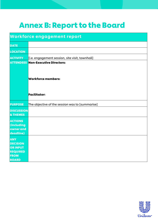## <span id="page-10-0"></span>Annex B: Report to the Board

| <b>Workforce engagement report</b>                                                                 |                                                 |
|----------------------------------------------------------------------------------------------------|-------------------------------------------------|
| <b>DATE</b>                                                                                        |                                                 |
| <b>LOCATION</b>                                                                                    |                                                 |
| <b>ACTIVITY</b>                                                                                    | [i.e. engagement session, site visit, townhall] |
|                                                                                                    | <b>ATTENDEES Non-Executive Directors:</b>       |
|                                                                                                    | <b>Workforce members:</b>                       |
|                                                                                                    | <b>Facilitator:</b>                             |
| <b>PURPOSE</b>                                                                                     | The objective of the session was to [summarise] |
| <b>DISCUSSION</b><br>& THEMES                                                                      |                                                 |
| <b>ACTIONS</b><br>(including<br>owner and<br>deadline)                                             |                                                 |
| <b>ANY</b><br><b>DECISION</b><br><b>OR INPUT</b><br><b>REQUIRED</b><br><b>FROM</b><br><b>BOARD</b> |                                                 |